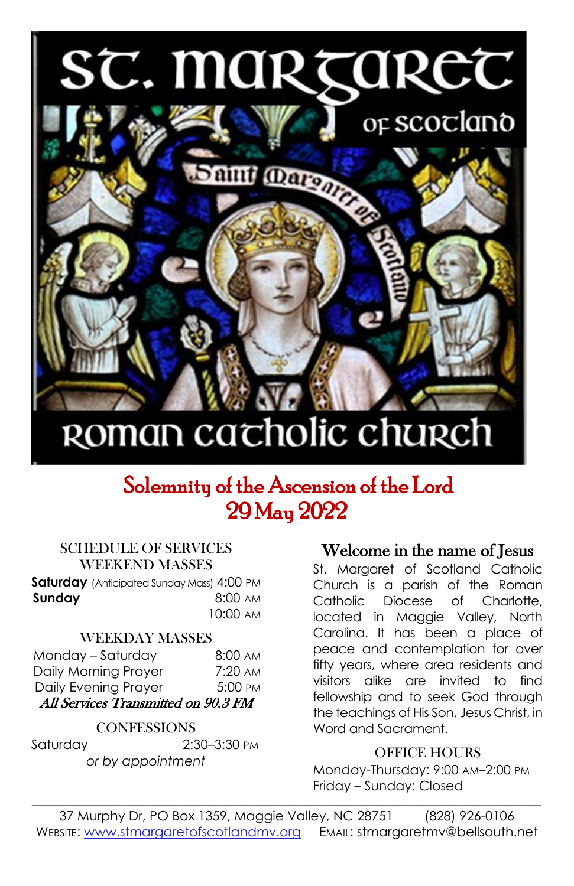# ST. MARTARET



# ROMAN cacholic church

## Solemnity of the Ascension of the Lord 29 May 2022

#### SCHEDULE OF SERVICES WEEKEND MASSES

**Saturday** (Anticipated Sunday Mass) 4:00 PM **Sunday 8:00 AM** 10:00 AM

#### WEEKDAY MASSES

| Monday - Saturday                   | $8:00 \text{ AM}$ |
|-------------------------------------|-------------------|
| Daily Morning Prayer                | $7:20 \text{ AM}$ |
| Daily Evening Prayer                | 5:00 PM           |
| All Services Transmitted on 90.3 FM |                   |

#### **CONFESSIONS**

Saturday 2:30–3:30 PM *or by appointment*

#### Welcome in the name of Jesus

St. Margaret of Scotland Catholic Church is a parish of the Roman Catholic Diocese of Charlotte, located in Maggie Valley, North Carolina. It has been a place of peace and contemplation for over fifty years, where area residents and visitors alike are invited to find fellowship and to seek God through the teachings of His Son, Jesus Christ, in Word and Sacrament.

#### OFFICE HOURS

Monday-Thursday: 9:00 AM–2:00 PM Friday – Sunday: Closed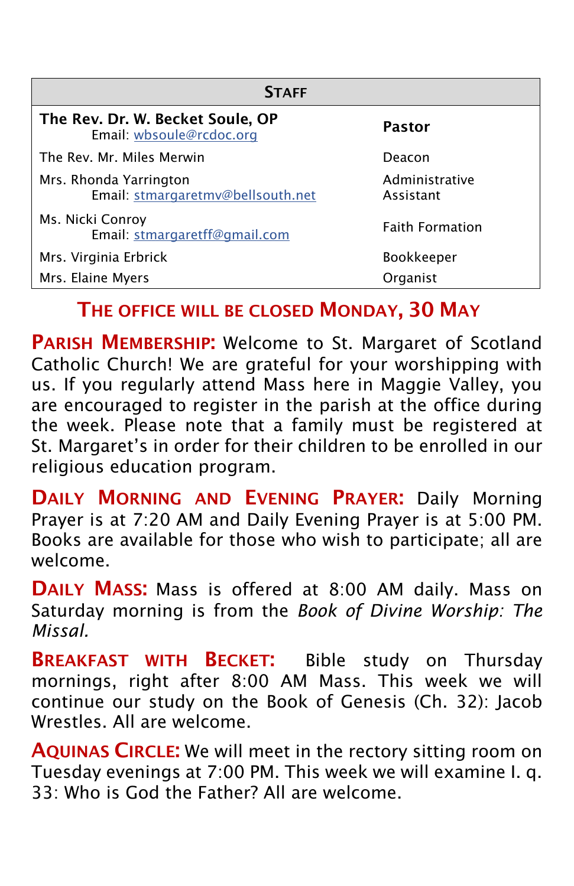| <b>STAFF</b>                                                 |                             |  |  |  |  |  |
|--------------------------------------------------------------|-----------------------------|--|--|--|--|--|
| The Rev. Dr. W. Becket Soule, OP<br>Email: wbsoule@rcdoc.org | Pastor                      |  |  |  |  |  |
| The Rev. Mr. Miles Merwin                                    | Deacon                      |  |  |  |  |  |
| Mrs. Rhonda Yarrington<br>Email: stmargaretmv@bellsouth.net  | Administrative<br>Assistant |  |  |  |  |  |
| Ms. Nicki Conroy<br>Email: stmargaretff@gmail.com            | <b>Faith Formation</b>      |  |  |  |  |  |
| Mrs. Virginia Erbrick                                        | <b>Bookkeeper</b>           |  |  |  |  |  |
| Mrs. Elaine Myers                                            | Organist                    |  |  |  |  |  |

### THE OFFICE WILL BE CLOSED MONDAY, 30 MAY

PARISH MEMBERSHIP: Welcome to St. Margaret of Scotland Catholic Church! We are grateful for your worshipping with us. If you regularly attend Mass here in Maggie Valley, you are encouraged to register in the parish at the office during the week. Please note that a family must be registered at St. Margaret's in order for their children to be enrolled in our religious education program.

DAILY MORNING AND EVENING PRAYER: Daily Morning Prayer is at 7:20 AM and Daily Evening Prayer is at 5:00 PM. Books are available for those who wish to participate; all are welcome.

DAILY MASS: Mass is offered at 8:00 AM daily. Mass on Saturday morning is from the *Book of Divine Worship: The Missal.*

**BREAKFAST WITH BECKET:** Bible study on Thursday mornings, right after 8:00 AM Mass. This week we will continue our study on the Book of Genesis (Ch. 32): Jacob Wrestles. All are welcome.

AQUINAS CIRCLE: We will meet in the rectory sitting room on Tuesday evenings at 7:00 PM. This week we will examine I. q. 33: Who is God the Father? All are welcome.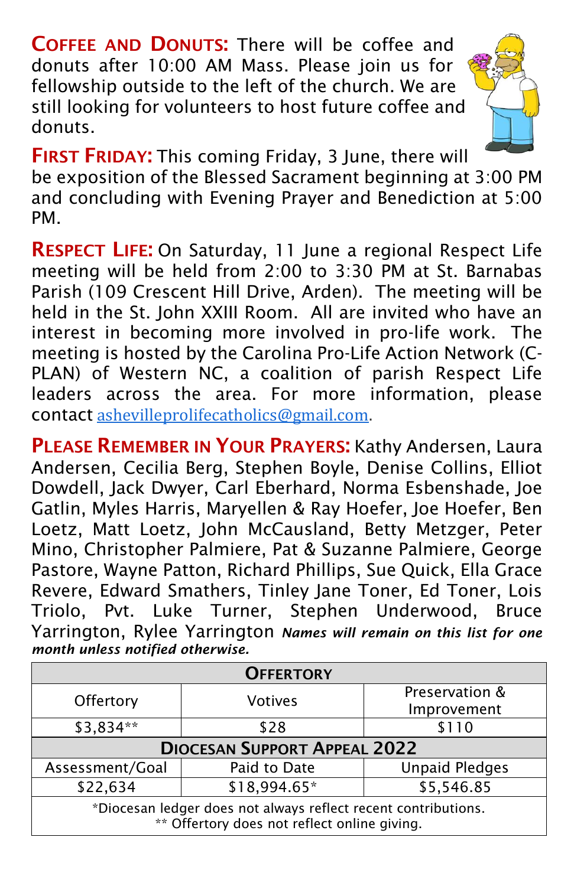COFFEE AND DONUTS: There will be coffee and donuts after 10:00 AM Mass. Please join us for fellowship outside to the left of the church. We are still looking for volunteers to host future coffee and donuts.



FIRST FRIDAY: This coming Friday, 3 June, there will

be exposition of the Blessed Sacrament beginning at 3:00 PM and concluding with Evening Prayer and Benediction at 5:00 PM.

RESPECT LIFE: On Saturday, 11 June a regional Respect Life meeting will be held from 2:00 to 3:30 PM at St. Barnabas Parish (109 Crescent Hill Drive, Arden). The meeting will be held in the St. John XXIII Room. All are invited who have an interest in becoming more involved in pro-life work. The meeting is hosted by the Carolina Pro-Life Action Network (C-PLAN) of Western NC, a coalition of parish Respect Life leaders across the area. For more information, please contact [ashevilleprolifecatholics@gmail.com.](mailto:ashevilleprolifecatholics@gmail.com)

PLEASE REMEMBER IN YOUR PRAYERS: Kathy Andersen, Laura Andersen, Cecilia Berg, Stephen Boyle, Denise Collins, Elliot Dowdell, Jack Dwyer, Carl Eberhard, Norma Esbenshade, Joe Gatlin, Myles Harris, Maryellen & Ray Hoefer, Joe Hoefer, Ben Loetz, Matt Loetz, John McCausland, Betty Metzger, Peter Mino, Christopher Palmiere, Pat & Suzanne Palmiere, George Pastore, Wayne Patton, Richard Phillips, Sue Quick, Ella Grace Revere, Edward Smathers, Tinley Jane Toner, Ed Toner, Lois Triolo, Pvt. Luke Turner, Stephen Underwood, Bruce Yarrington, Rylee Yarrington *Names will remain on this list for one month unless notified otherwise.*

| <b>OFFERTORY</b>                                                                                               |                      |                       |  |  |  |  |
|----------------------------------------------------------------------------------------------------------------|----------------------|-----------------------|--|--|--|--|
|                                                                                                                | Offertory<br>Votives | Preservation &        |  |  |  |  |
|                                                                                                                |                      | Improvement           |  |  |  |  |
| \$3,834**                                                                                                      | \$28                 | \$110                 |  |  |  |  |
| <b>DIOCESAN SUPPORT APPEAL 2022</b>                                                                            |                      |                       |  |  |  |  |
| Assessment/Goal                                                                                                | Paid to Date         | <b>Unpaid Pledges</b> |  |  |  |  |
| \$22,634                                                                                                       | \$18,994.65*         | \$5,546.85            |  |  |  |  |
| *Diocesan ledger does not always reflect recent contributions.<br>** Offertory does not reflect online giving. |                      |                       |  |  |  |  |